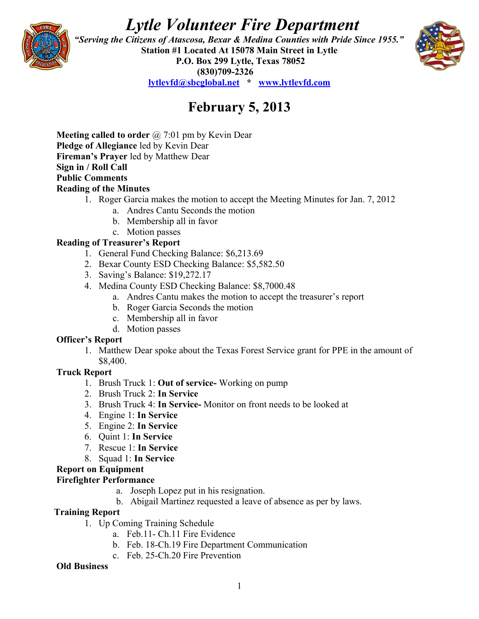# *Lytle Volunteer Fire Department*



 *"Serving the Citizens of Atascosa, Bexar & Medina Counties with Pride Since 1955."*  **Station #1 Located At 15078 Main Street in Lytle P.O. Box 299 Lytle, Texas 78052 (830)709-2326 [lytlevfd@sbcglobal.net](mailto:lytlevfd@sbcglobal.net) \* [www.lytlevfd.com](http://www.lytlevfd.com/)**



## **February 5, 2013**

**Meeting called to order** @ 7:01 pm by Kevin Dear **Pledge of Allegiance** led by Kevin Dear **Fireman's Prayer** led by Matthew Dear **Sign in / Roll Call Public Comments Reading of the Minutes**

- 1. Roger Garcia makes the motion to accept the Meeting Minutes for Jan. 7, 2012
	- a. Andres Cantu Seconds the motion
	- b. Membership all in favor
	- c. Motion passes

#### **Reading of Treasurer's Report**

- 1. General Fund Checking Balance: \$6,213.69
- 2. Bexar County ESD Checking Balance: \$5,582.50
- 3. Saving's Balance: \$19,272.17
- 4. Medina County ESD Checking Balance: \$8,7000.48
	- a. Andres Cantu makes the motion to accept the treasurer's report
	- b. Roger Garcia Seconds the motion
	- c. Membership all in favor
	- d. Motion passes

#### **Officer's Report**

1. Matthew Dear spoke about the Texas Forest Service grant for PPE in the amount of \$8,400.

#### **Truck Report**

- 1. Brush Truck 1: **Out of service-** Working on pump
- 2. Brush Truck 2: **In Service**
- 3. Brush Truck 4: **In Service-** Monitor on front needs to be looked at
- 4. Engine 1: **In Service**
- 5. Engine 2: **In Service**
- 6. Quint 1: **In Service**
- 7. Rescue 1: **In Service**
- 8. Squad 1: **In Service**

#### **Report on Equipment**

#### **Firefighter Performance**

- a. Joseph Lopez put in his resignation.
- b. Abigail Martinez requested a leave of absence as per by laws.

#### **Training Report**

- 1. Up Coming Training Schedule
	- a. Feb.11- Ch.11 Fire Evidence
	- b. Feb. 18-Ch.19 Fire Department Communication
	- c. Feb. 25-Ch.20 Fire Prevention

#### **Old Business**